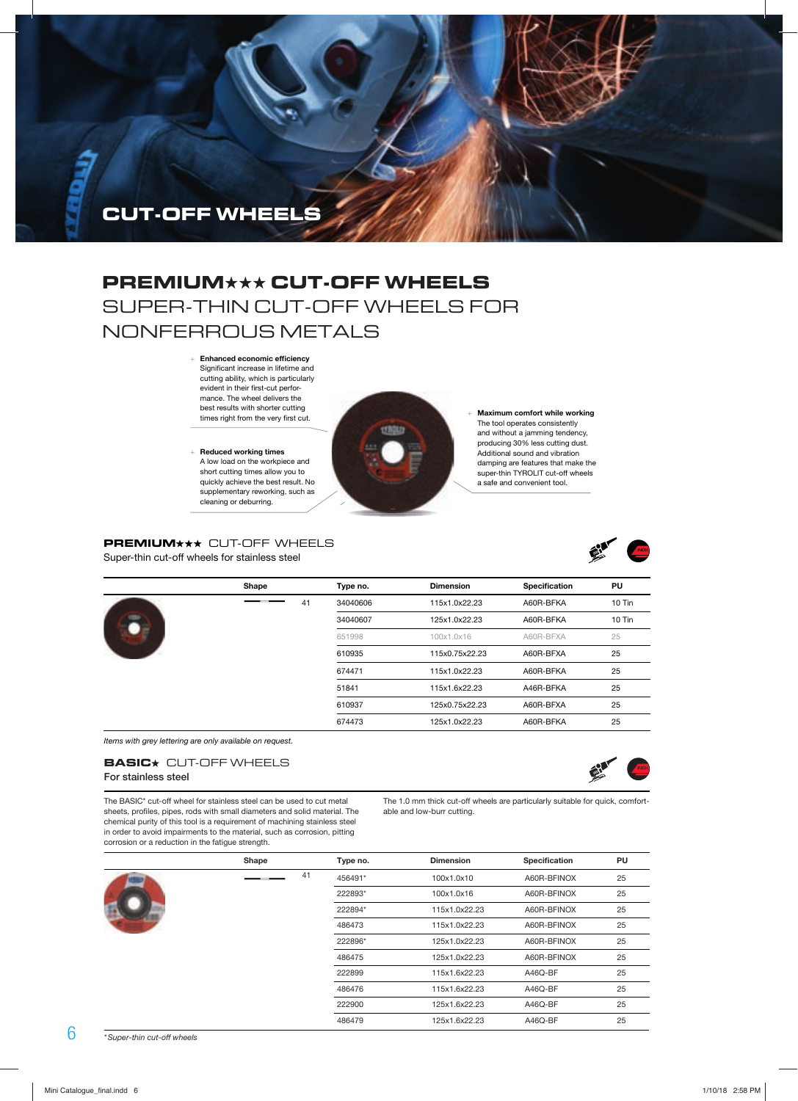

# **PREMIUM**★★★ **CUT-OFF WHEELS** SUPER-THIN CUT-OFF WHEELS FOR NONFERROUS METALS

 + **Enhanced economic efficiency**  Significant increase in lifetime and cutting ability, which is particularly evident in their first-cut performance. The wheel delivers the best results with shorter cutting times right from the very first cut.

short cutting times allow you to quickly achieve the best result. No supplementary reworking, such as cleaning or deburring. supplementary reworking, such as + **Reduced working times**  A low load on the workpiece and



 + **Maximum comfort while working**  The tool operates consistently and without a jamming tendency, producing 30% less cutting dust. Additional sound and vibration damping are features that make the super-thin TYROLIT cut-off wheels a safe and convenient tool.

**PREMIUM\*\*\*** CUT-OFF WHEELS Super-thin cut-off wheels for stainless steel



|  | Shape |    | Type no. | <b>Dimension</b> | Specification | PU     |
|--|-------|----|----------|------------------|---------------|--------|
|  |       | 41 | 34040606 | 115x1.0x22.23    | A60R-BFKA     | 10 Tin |
|  |       |    | 34040607 | 125x1.0x22.23    | A60R-BFKA     | 10 Tin |
|  |       |    | 651998   | 100x1.0x16       | A60R-BFXA     | 25     |
|  |       |    | 610935   | 115x0.75x22.23   | A60R-BFXA     | 25     |
|  |       |    | 674471   | 115x1.0x22.23    | A60R-BFKA     | 25     |
|  |       |    | 51841    | 115x1.6x22.23    | A46R-BFKA     | 25     |
|  |       |    | 610937   | 125x0.75x22.23   | A60R-BFXA     | 25     |
|  |       |    | 674473   | 125x1.0x22.23    | A60R-BFKA     | 25     |

Items with grey lettering are only available on request.

### **BASIC**<sup>\*</sup> CUT-OFF WHEELS

**For stainless steel**

ENER

The BASIC\* cut-off wheel for stainless steel can be used to cut metal sheets, profiles, pipes, rods with small diameters and solid material. The chemical purity of this tool is a requirement of machining stainless steel in order to avoid impairments to the material, such as corrosion, pitting corrosion or a reduction in the fatigue strength.

The 1.0 mm thick cut-off wheels are particularly suitable for quick, comfortable and low-burr cutting.

|  | Shape | Type no. | <b>Dimension</b> | Specification | PU |
|--|-------|----------|------------------|---------------|----|
|  | 41    | 456491*  | 100x1.0x10       | A60R-BFINOX   | 25 |
|  |       | 222893*  | 100x1.0x16       | A60R-BFINOX   | 25 |
|  |       | 222894*  | 115x1.0x22.23    | A60R-BFINOX   | 25 |
|  |       | 486473   | 115x1.0x22.23    | A60R-BFINOX   | 25 |
|  |       | 222896*  | 125x1.0x22.23    | A60R-BFINOX   | 25 |
|  |       | 486475   | 125x1.0x22.23    | A60R-BFINOX   | 25 |
|  |       | 222899   | 115x1.6x22.23    | A46Q-BF       | 25 |
|  |       | 486476   | 115x1.6x22.23    | A46Q-BF       | 25 |
|  |       | 222900   | 125x1.6x22.23    | A46Q-BF       | 25 |
|  |       | 486479   | 125x1.6x22.23    | A46Q-BF       | 25 |